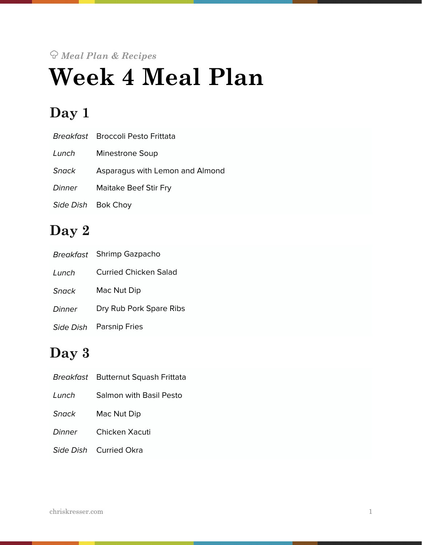# *Meal Plan & Recipes*  **Week 4 Meal Plan**

# **Day 1**

|                    | <i>Breakfast</i> Broccoli Pesto Frittata |
|--------------------|------------------------------------------|
| Lunch              | Minestrone Soup                          |
| <b>Snack</b>       | Asparagus with Lemon and Almond          |
| <b>Dinner</b>      | Maitake Beef Stir Fry                    |
| Side Dish Bok Choy |                                          |

# **Day 2**

|           | Breakfast Shrimp Gazpacho |  |
|-----------|---------------------------|--|
| Lunch     | Curried Chicken Salad     |  |
| Snack     | Mac Nut Dip               |  |
| Dinner    | Dry Rub Pork Spare Ribs   |  |
| Side Dish | <b>Parsnip Fries</b>      |  |

# **Day 3**

|              | Breakfast Butternut Squash Frittata |  |
|--------------|-------------------------------------|--|
| Lunch        | <b>Salmon with Basil Pesto</b>      |  |
| <b>Snack</b> | Mac Nut Dip                         |  |
|              | Dinner Chicken Xacuti               |  |
|              | Side Dish Curried Okra              |  |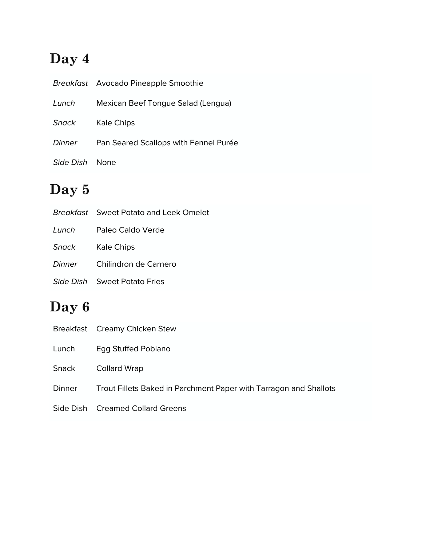# **Day 4**

|           | Breakfast Avocado Pineapple Smoothie  |
|-----------|---------------------------------------|
| Lunch     | Mexican Beef Tongue Salad (Lengua)    |
| Snack     | Kale Chips                            |
| Dinner    | Pan Seared Scallops with Fennel Purée |
| Side Dish | <b>None</b>                           |

# **Day 5**

|        | <b>Breakfast</b> Sweet Potato and Leek Omelet |
|--------|-----------------------------------------------|
| Lunch  | Paleo Caldo Verde                             |
| Snack  | Kale Chips                                    |
| Dinner | Chilindron de Carnero                         |
|        | Side Dish Sweet Potato Fries                  |

# **Day 6**

|  |  | Breakfast Creamy Chicken Stew |
|--|--|-------------------------------|
|--|--|-------------------------------|

Lunch Egg Stuffed Poblano

Snack Collard Wrap

- Dinner Trout Fillets Baked in Parchment Paper with Tarragon and Shallots
- Side Dish Creamed Collard Greens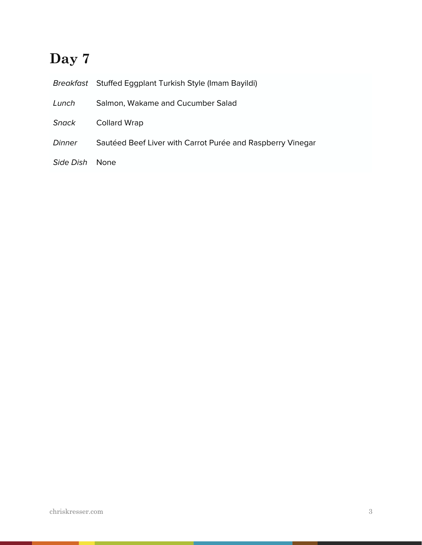# **Day 7**

|                | Breakfast Stuffed Eggplant Turkish Style (Imam Bayildi)    |
|----------------|------------------------------------------------------------|
| Lunch          | Salmon, Wakame and Cucumber Salad                          |
| Snack          | <b>Collard Wrap</b>                                        |
| Dinner         | Sautéed Beef Liver with Carrot Purée and Raspberry Vinegar |
| Side Dish None |                                                            |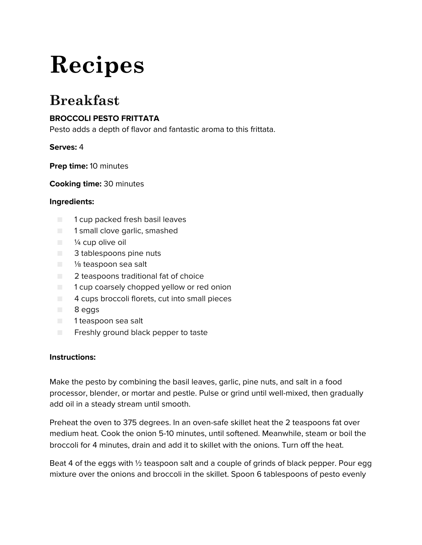# **Recipes**

# **Breakfast**

# **BROCCOLI PESTO FRITTATA**

Pesto adds a depth of flavor and fantastic aroma to this frittata.

# **Serves:** 4

**Prep time:** 10 minutes

**Cooking time:** 30 minutes

# **Ingredients:**

- 1 cup packed fresh basil leaves
- 1 small clove garlic, smashed
- $\blacksquare$   $\frac{1}{4}$  cup olive oil
- 3 tablespoons pine nuts
- <sup>1/8</sup> teaspoon sea salt
- 2 teaspoons traditional fat of choice
- $\Box$  1 cup coarsely chopped yellow or red onion
- $\Box$  4 cups broccoli florets, cut into small pieces
- 8 eggs
- 1 teaspoon sea salt
- Freshly ground black pepper to taste

#### **Instructions:**

Make the pesto by combining the basil leaves, garlic, pine nuts, and salt in a food processor, blender, or mortar and pestle. Pulse or grind until well-mixed, then gradually add oil in a steady stream until smooth.

Preheat the oven to 375 degrees. In an oven-safe skillet heat the 2 teaspoons fat over medium heat. Cook the onion 5-10 minutes, until softened. Meanwhile, steam or boil the broccoli for 4 minutes, drain and add it to skillet with the onions. Turn off the heat.

Beat 4 of the eggs with ½ teaspoon salt and a couple of grinds of black pepper. Pour egg mixture over the onions and broccoli in the skillet. Spoon 6 tablespoons of pesto evenly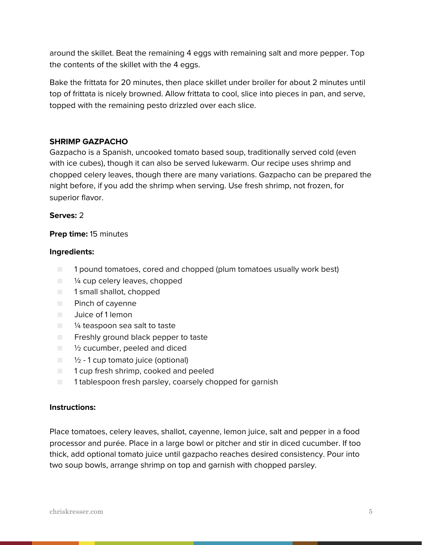around the skillet. Beat the remaining 4 eggs with remaining salt and more pepper. Top the contents of the skillet with the 4 eggs.

Bake the frittata for 20 minutes, then place skillet under broiler for about 2 minutes until top of frittata is nicely browned. Allow frittata to cool, slice into pieces in pan, and serve, topped with the remaining pesto drizzled over each slice.

# **SHRIMP GAZPACHO**

Gazpacho is a Spanish, uncooked tomato based soup, traditionally served cold (even with ice cubes), though it can also be served lukewarm. Our recipe uses shrimp and chopped celery leaves, though there are many variations. Gazpacho can be prepared the night before, if you add the shrimp when serving. Use fresh shrimp, not frozen, for superior flavor.

#### **Serves:** 2

# **Prep time:** 15 minutes

#### **Ingredients:**

- 1 pound tomatoes, cored and chopped (plum tomatoes usually work best)
- $\blacksquare$   $\mathcal V_4$  cup celery leaves, chopped
- 1 small shallot, chopped
- Pinch of cayenne
- Juice of 1 lemon
- <sup>1/4</sup> teaspoon sea salt to taste
- Freshly ground black pepper to taste
- $\Box$  1/2 cucumber, peeled and diced
- $\Box$   $\frac{1}{2}$  1 cup tomato juice (optional)
- 1 cup fresh shrimp, cooked and peeled
- 1 tablespoon fresh parsley, coarsely chopped for garnish

#### **Instructions:**

Place tomatoes, celery leaves, shallot, cayenne, lemon juice, salt and pepper in a food processor and purée. Place in a large bowl or pitcher and stir in diced cucumber. If too thick, add optional tomato juice until gazpacho reaches desired consistency. Pour into two soup bowls, arrange shrimp on top and garnish with chopped parsley.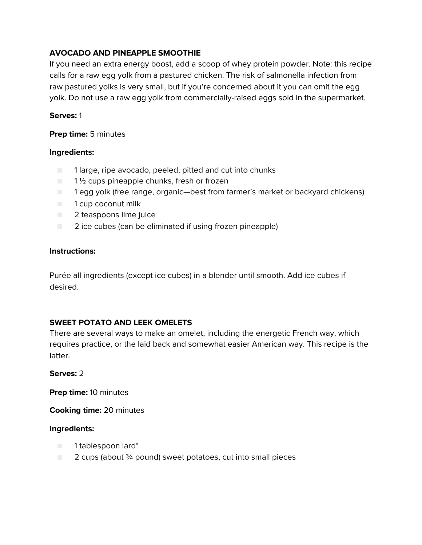# **AVOCADO AND PINEAPPLE SMOOTHIE**

If you need an extra energy boost, add a scoop of whey protein powder. Note: this recipe calls for a raw egg yolk from a pastured chicken. The risk of salmonella infection from raw pastured yolks is very small, but if you're concerned about it you can omit the egg yolk. Do not use a raw egg yolk from commercially-raised eggs sold in the supermarket.

## **Serves:** 1

## **Prep time:** 5 minutes

# **Ingredients:**

- 1 large, ripe avocado, peeled, pitted and cut into chunks
- $\blacksquare$  1 1/2 cups pineapple chunks, fresh or frozen
- 1 egg yolk (free range, organic—best from farmer's market or backyard chickens)
- 1 cup coconut milk
- 2 teaspoons lime juice
- 2 ice cubes (can be eliminated if using frozen pineapple)

# **Instructions:**

Purée all ingredients (except ice cubes) in a blender until smooth. Add ice cubes if desired.

# **SWEET POTATO AND LEEK OMELETS**

There are several ways to make an omelet, including the energetic French way, which requires practice, or the laid back and somewhat easier American way. This recipe is the latter.

#### **Serves:** 2

**Prep time:** 10 minutes

**Cooking time:** 20 minutes

- 1 tablespoon lard\*
- $\Box$  2 cups (about  $\frac{3}{4}$  pound) sweet potatoes, cut into small pieces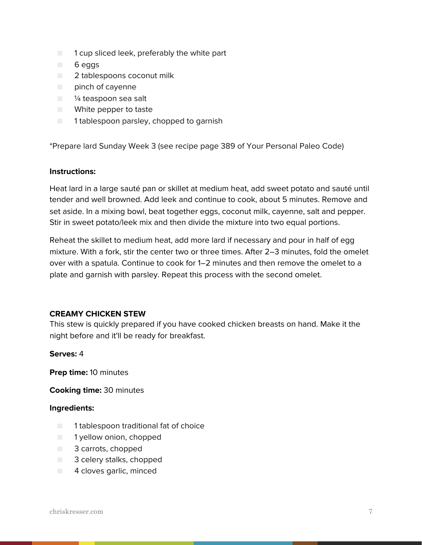- $\blacksquare$  1 cup sliced leek, preferably the white part
- 6 eggs
- 2 tablespoons coconut milk
- pinch of cayenne
- <sup>1/4</sup> teaspoon sea salt
- White pepper to taste
- 1 tablespoon parsley, chopped to garnish

\*Prepare lard Sunday Week 3 (see recipe page 389 of Your Personal Paleo Code)

#### **Instructions:**

Heat lard in a large sauté pan or skillet at medium heat, add sweet potato and sauté until tender and well browned. Add leek and continue to cook, about 5 minutes. Remove and set aside. In a mixing bowl, beat together eggs, coconut milk, cayenne, salt and pepper. Stir in sweet potato/leek mix and then divide the mixture into two equal portions.

Reheat the skillet to medium heat, add more lard if necessary and pour in half of egg mixture. With a fork, stir the center two or three times. After 2–3 minutes, fold the omelet over with a spatula. Continue to cook for 1–2 minutes and then remove the omelet to a plate and garnish with parsley. Repeat this process with the second omelet.

#### **CREAMY CHICKEN STEW**

This stew is quickly prepared if you have cooked chicken breasts on hand. Make it the night before and it'll be ready for breakfast.

**Serves:** 4

**Prep time:** 10 minutes

**Cooking time:** 30 minutes

- 1 tablespoon traditional fat of choice
- 1 yellow onion, chopped
- 3 carrots, chopped
- 3 celery stalks, chopped
- 4 cloves garlic, minced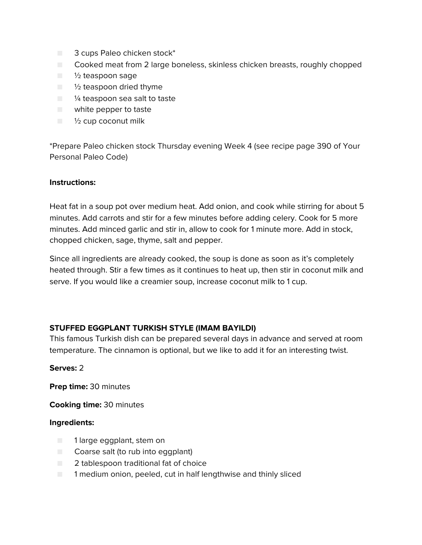- 3 cups Paleo chicken stock\*
- Cooked meat from 2 large boneless, skinless chicken breasts, roughly chopped
- <sup>1</sup>/<sub>2</sub> teaspoon sage
- $\blacksquare$   $\frac{1}{2}$  teaspoon dried thyme
- <sup>1/4</sup> teaspoon sea salt to taste
- white pepper to taste
- $\blacksquare$   $\frac{1}{2}$  cup coconut milk

\*Prepare Paleo chicken stock Thursday evening Week 4 (see recipe page 390 of Your Personal Paleo Code)

#### **Instructions:**

Heat fat in a soup pot over medium heat. Add onion, and cook while stirring for about 5 minutes. Add carrots and stir for a few minutes before adding celery. Cook for 5 more minutes. Add minced garlic and stir in, allow to cook for 1 minute more. Add in stock, chopped chicken, sage, thyme, salt and pepper.

Since all ingredients are already cooked, the soup is done as soon as it's completely heated through. Stir a few times as it continues to heat up, then stir in coconut milk and serve. If you would like a creamier soup, increase coconut milk to 1 cup.

# **STUFFED EGGPLANT TURKISH STYLE (IMAM BAYILDI)**

This famous Turkish dish can be prepared several days in advance and served at room temperature. The cinnamon is optional, but we like to add it for an interesting twist.

#### **Serves:** 2

**Prep time:** 30 minutes

**Cooking time:** 30 minutes

- 1 large eggplant, stem on
- Coarse salt (to rub into eggplant)
- 2 tablespoon traditional fat of choice
- 1 medium onion, peeled, cut in half lengthwise and thinly sliced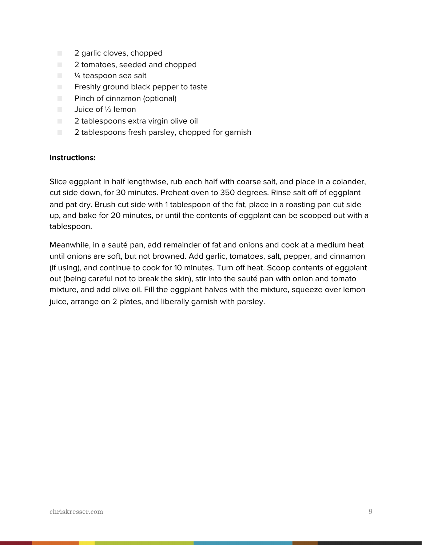- 2 garlic cloves, chopped
- 2 tomatoes, seeded and chopped
- $\blacksquare$  % teaspoon sea salt
- Freshly ground black pepper to taste
- Pinch of cinnamon (optional)
- Juice of ½ lemon
- 2 tablespoons extra virgin olive oil
- 2 tablespoons fresh parsley, chopped for garnish

Slice eggplant in half lengthwise, rub each half with coarse salt, and place in a colander, cut side down, for 30 minutes. Preheat oven to 350 degrees. Rinse salt off of eggplant and pat dry. Brush cut side with 1 tablespoon of the fat, place in a roasting pan cut side up, and bake for 20 minutes, or until the contents of eggplant can be scooped out with a tablespoon.

Meanwhile, in a sauté pan, add remainder of fat and onions and cook at a medium heat until onions are soft, but not browned. Add garlic, tomatoes, salt, pepper, and cinnamon (if using), and continue to cook for 10 minutes. Turn off heat. Scoop contents of eggplant out (being careful not to break the skin), stir into the sauté pan with onion and tomato mixture, and add olive oil. Fill the eggplant halves with the mixture, squeeze over lemon juice, arrange on 2 plates, and liberally garnish with parsley.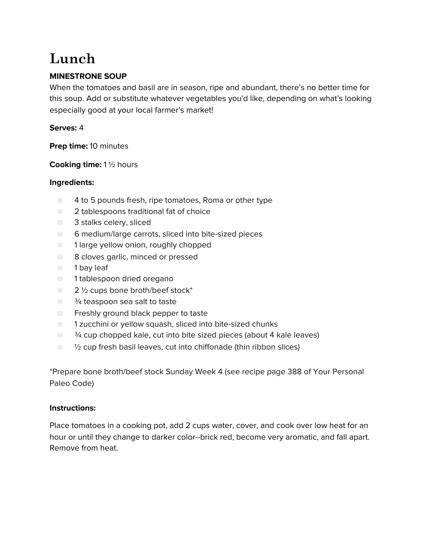# **Lunch**

# **MINESTRONE SOUP**

When the tomatoes and basil are in season, ripe and abundant, there's no better time for this soup. Add or substitute whatever vegetables you'd like, depending on what's looking especially good at your local farmer's market!

# **Serves:** 4

**Prep time:** 10 minutes

**Cooking time:** 1 ½ hours

# **Ingredients:**

- 4 to 5 pounds fresh, ripe tomatoes, Roma or other type
- 2 tablespoons traditional fat of choice
- 3 stalks celery, sliced
- 6 medium/large carrots, sliced into bite-sized pieces
- 1 large yellow onion, roughly chopped
- 8 cloves garlic, minced or pressed
- 1 bay leaf
- 1 tablespoon dried oregano
- $\Box$  2  $\frac{1}{2}$  cups bone broth/beef stock\*
- $\blacksquare$   $\frac{3}{4}$  teaspoon sea salt to taste
- Freshly ground black pepper to taste
- 1 zucchini or yellow squash, sliced into bite-sized chunks
- $\Box$   $\frac{3}{4}$  cup chopped kale, cut into bite sized pieces (about 4 kale leaves)
- $\Box$   $\%$  cup fresh basil leaves, cut into chiffonade (thin ribbon slices)

\*Prepare bone broth/beef stock Sunday Week 4 (see recipe page 388 of Your Personal Paleo Code)

#### **Instructions:**

Place tomatoes in a cooking pot, add 2 cups water, cover, and cook over low heat for an hour or until they change to darker color--brick red, become very aromatic, and fall apart. Remove from heat.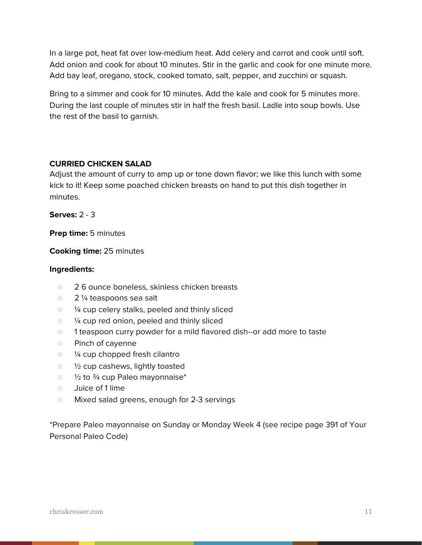In a large pot, heat fat over low-medium heat. Add celery and carrot and cook until soft. Add onion and cook for about 10 minutes. Stir in the garlic and cook for one minute more. Add bay leaf, oregano, stock, cooked tomato, salt, pepper, and zucchini or squash.

Bring to a simmer and cook for 10 minutes. Add the kale and cook for 5 minutes more. During the last couple of minutes stir in half the fresh basil. Ladle into soup bowls. Use the rest of the basil to garnish.

#### **CURRIED CHICKEN SALAD**

Adjust the amount of curry to amp up or tone down flavor; we like this lunch with some kick to it! Keep some poached chicken breasts on hand to put this dish together in minutes.

**Serves:** 2 - 3

**Prep time:** 5 minutes

**Cooking time:** 25 minutes

## **Ingredients:**

- 2 6 ounce boneless, skinless chicken breasts
- 2 ¼ teaspoons sea salt
- $\blacksquare$   $\blacksquare$   $\blacksquare$   $\blacksquare$   $\blacksquare$   $\blacksquare$   $\blacksquare$   $\blacksquare$   $\blacksquare$   $\blacksquare$   $\blacksquare$   $\blacksquare$   $\blacksquare$   $\blacksquare$   $\blacksquare$   $\blacksquare$   $\blacksquare$   $\blacksquare$   $\blacksquare$   $\blacksquare$   $\blacksquare$   $\blacksquare$   $\blacksquare$   $\blacksquare$   $\blacksquare$   $\blacksquare$   $\blacksquare$   $\blacksquare$   $\blacksquare$   $\blacksquare$   $\blacksquare$   $\blacks$
- $\Box$  % cup red onion, peeled and thinly sliced
- 1 teaspoon curry powder for a mild flavored dish--or add more to taste
- Pinch of cayenne
- $\Box$  % cup chopped fresh cilantro
- $\blacksquare$  % cup cashews, lightly toasted
- $\Box$   $\frac{1}{2}$  to  $\frac{3}{4}$  cup Paleo mayonnaise\*
- Juice of 1 lime
- Mixed salad greens, enough for 2-3 servings

\*Prepare Paleo mayonnaise on Sunday or Monday Week 4 (see recipe page 391 of Your Personal Paleo Code)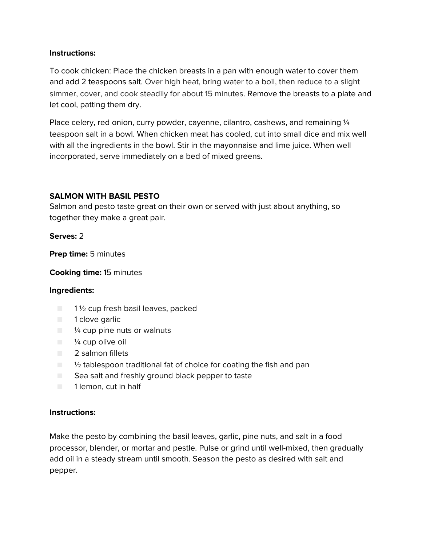To cook chicken: Place the chicken breasts in a pan with enough water to cover them and add 2 teaspoons salt. Over high heat, bring water to a boil, then reduce to a slight simmer, cover, and cook steadily for about 15 minutes. Remove the breasts to a plate and let cool, patting them dry.

Place celery, red onion, curry powder, cayenne, cilantro, cashews, and remaining 1/4 teaspoon salt in a bowl. When chicken meat has cooled, cut into small dice and mix well with all the ingredients in the bowl. Stir in the mayonnaise and lime juice. When well incorporated, serve immediately on a bed of mixed greens.

# **SALMON WITH BASIL PESTO**

Salmon and pesto taste great on their own or served with just about anything, so together they make a great pair.

**Serves:** 2

**Prep time:** 5 minutes

#### **Cooking time:** 15 minutes

#### **Ingredients:**

- $\Box$  1  $\frac{1}{2}$  cup fresh basil leaves, packed
- 1 clove garlic
- $\blacksquare$  /4 cup pine nuts or walnuts
- $\blacksquare$   $\frac{1}{4}$  cup olive oil
- 2 salmon fillets
- $\Box$   $\%$  tablespoon traditional fat of choice for coating the fish and pan
- Sea salt and freshly ground black pepper to taste
- 1 lemon, cut in half

#### **Instructions:**

Make the pesto by combining the basil leaves, garlic, pine nuts, and salt in a food processor, blender, or mortar and pestle. Pulse or grind until well-mixed, then gradually add oil in a steady stream until smooth. Season the pesto as desired with salt and pepper.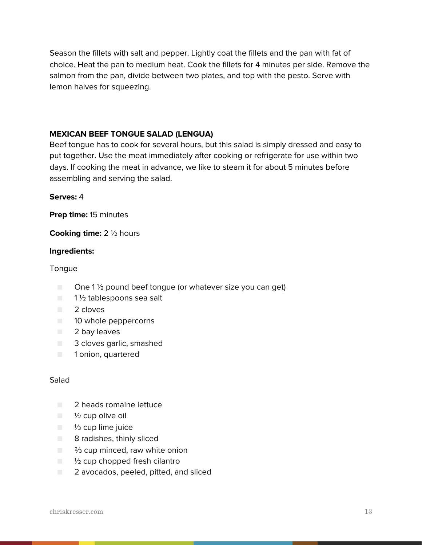Season the fillets with salt and pepper. Lightly coat the fillets and the pan with fat of choice. Heat the pan to medium heat. Cook the fillets for 4 minutes per side. Remove the salmon from the pan, divide between two plates, and top with the pesto. Serve with lemon halves for squeezing.

# **MEXICAN BEEF TONGUE SALAD (LENGUA)**

Beef tongue has to cook for several hours, but this salad is simply dressed and easy to put together. Use the meat immediately after cooking or refrigerate for use within two days. If cooking the meat in advance, we like to steam it for about 5 minutes before assembling and serving the salad.

#### **Serves:** 4

**Prep time:** 15 minutes

**Cooking time:** 2 ½ hours

#### **Ingredients:**

#### Tongue

- $\Box$  One 1 <sup>1</sup>/<sub>2</sub> pound beef tongue (or whatever size you can get)
- $\blacksquare$  1  $\frac{1}{2}$  tablespoons sea salt
- 2 cloves
- 10 whole peppercorns
- 2 bay leaves
- 3 cloves garlic, smashed
- 1 onion, quartered

#### Salad

- 2 heads romaine lettuce
- $\blacksquare$   $\frac{1}{2}$  cup olive oil
- 1/<sub>3</sub> cup lime juice
- 8 radishes, thinly sliced
- $\Box$  % cup minced, raw white onion
- $\Box$   $\frac{1}{2}$  cup chopped fresh cilantro
- 2 avocados, peeled, pitted, and sliced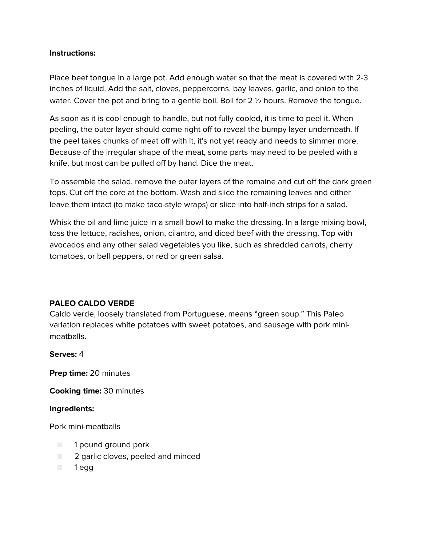Place beef tongue in a large pot. Add enough water so that the meat is covered with 2-3 inches of liquid. Add the salt, cloves, peppercorns, bay leaves, garlic, and onion to the water. Cover the pot and bring to a gentle boil. Boil for 2  $\frac{1}{2}$  hours. Remove the tongue.

As soon as it is cool enough to handle, but not fully cooled, it is time to peel it. When peeling, the outer layer should come right off to reveal the bumpy layer underneath. If the peel takes chunks of meat off with it, it's not yet ready and needs to simmer more. Because of the irregular shape of the meat, some parts may need to be peeled with a knife, but most can be pulled off by hand. Dice the meat.

To assemble the salad, remove the outer layers of the romaine and cut off the dark green tops. Cut off the core at the bottom. Wash and slice the remaining leaves and either leave them intact (to make taco-style wraps) or slice into half-inch strips for a salad.

Whisk the oil and lime juice in a small bowl to make the dressing. In a large mixing bowl, toss the lettuce, radishes, onion, cilantro, and diced beef with the dressing. Top with avocados and any other salad vegetables you like, such as shredded carrots, cherry tomatoes, or bell peppers, or red or green salsa.

#### **PALEO CALDO VERDE**

Caldo verde, loosely translated from Portuguese, means "green soup." This Paleo variation replaces white potatoes with sweet potatoes, and sausage with pork minimeatballs.

**Serves:** 4

**Prep time:** 20 minutes

**Cooking time:** 30 minutes

#### **Ingredients:**

Pork mini-meatballs

- 1 pound ground pork
- **2** garlic cloves, peeled and minced
- 1 egg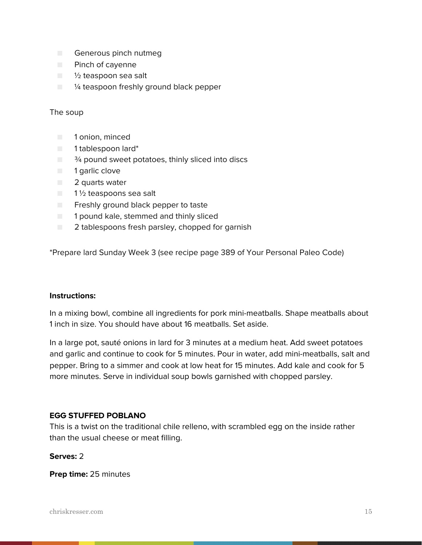- Generous pinch nutmeg
- Pinch of cayenne
- 1/2 teaspoon sea salt
- $\blacksquare$   $\blacksquare$   $\blacksquare$   $\blacksquare$   $\blacksquare$   $\blacksquare$   $\blacksquare$   $\blacksquare$   $\blacksquare$   $\blacksquare$   $\blacksquare$   $\blacksquare$   $\blacksquare$   $\blacksquare$   $\blacksquare$   $\blacksquare$   $\blacksquare$   $\blacksquare$   $\blacksquare$   $\blacksquare$   $\blacksquare$   $\blacksquare$   $\blacksquare$   $\blacksquare$   $\blacksquare$   $\blacksquare$   $\blacksquare$   $\blacksquare$   $\blacksquare$   $\blacksquare$   $\blacksquare$   $\blacks$

#### The soup

- 1 onion, minced
- 1 tablespoon lard\*
- $\blacksquare$   $\frac{3}{4}$  pound sweet potatoes, thinly sliced into discs
- 1 garlic clove
- 2 quarts water
- 1½ teaspoons sea salt
- Freshly ground black pepper to taste
- 1 pound kale, stemmed and thinly sliced
- 2 tablespoons fresh parsley, chopped for garnish

\*Prepare lard Sunday Week 3 (see recipe page 389 of Your Personal Paleo Code)

#### **Instructions:**

In a mixing bowl, combine all ingredients for pork mini-meatballs. Shape meatballs about 1 inch in size. You should have about 16 meatballs. Set aside.

In a large pot, sauté onions in lard for 3 minutes at a medium heat. Add sweet potatoes and garlic and continue to cook for 5 minutes. Pour in water, add mini-meatballs, salt and pepper. Bring to a simmer and cook at low heat for 15 minutes. Add kale and cook for 5 more minutes. Serve in individual soup bowls garnished with chopped parsley.

#### **EGG STUFFED POBLANO**

This is a twist on the traditional chile relleno, with scrambled egg on the inside rather than the usual cheese or meat filling.

#### **Serves:** 2

**Prep time:** 25 minutes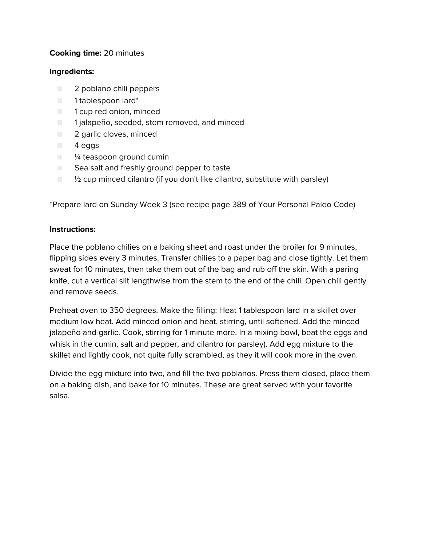# **Cooking time:** 20 minutes

#### **Ingredients:**

- 2 poblano chili peppers
- 1 tablespoon lard\*
- 1 cup red onion, minced
- 1 jalapeño, seeded, stem removed, and minced
- 2 garlic cloves, minced
- 4 eggs
- <sup>1/4</sup> teaspoon ground cumin
- Sea salt and freshly ground pepper to taste
- $\blacksquare$   $\mathcal V_2$  cup minced cilantro (if you don't like cilantro, substitute with parsley)

\*Prepare lard on Sunday Week 3 (see recipe page 389 of Your Personal Paleo Code)

#### **Instructions:**

Place the poblano chilies on a baking sheet and roast under the broiler for 9 minutes, flipping sides every 3 minutes. Transfer chilies to a paper bag and close tightly. Let them sweat for 10 minutes, then take them out of the bag and rub off the skin. With a paring knife, cut a vertical slit lengthwise from the stem to the end of the chili. Open chili gently and remove seeds.

Preheat oven to 350 degrees. Make the filling: Heat 1 tablespoon lard in a skillet over medium low heat. Add minced onion and heat, stirring, until softened. Add the minced jalapeño and garlic. Cook, stirring for 1 minute more. In a mixing bowl, beat the eggs and whisk in the cumin, salt and pepper, and cilantro (or parsley). Add egg mixture to the skillet and lightly cook, not quite fully scrambled, as they it will cook more in the oven.

Divide the egg mixture into two, and fill the two poblanos. Press them closed, place them on a baking dish, and bake for 10 minutes. These are great served with your favorite salsa.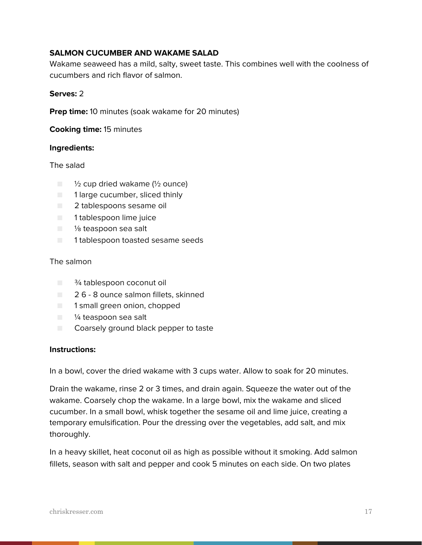#### **SALMON CUCUMBER AND WAKAME SALAD**

Wakame seaweed has a mild, salty, sweet taste. This combines well with the coolness of cucumbers and rich flavor of salmon.

#### **Serves:** 2

**Prep time:** 10 minutes (soak wakame for 20 minutes)

**Cooking time:** 15 minutes

#### **Ingredients:**

The salad

- $\Box$   $\frac{1}{2}$  cup dried wakame ( $\frac{1}{2}$  ounce)
- 1 large cucumber, sliced thinly
- 2 tablespoons sesame oil
- 1 tablespoon lime juice
- <sup>1</sup>/<sub>8</sub> teaspoon sea salt
- 1 tablespoon toasted sesame seeds

#### The salmon

- <sup>3</sup>/<sub>4</sub> tablespoon coconut oil
- 26 8 ounce salmon fillets, skinned
- 1 small green onion, chopped
- <sup>1/4</sup> teaspoon sea salt
- Coarsely ground black pepper to taste

#### **Instructions:**

In a bowl, cover the dried wakame with 3 cups water. Allow to soak for 20 minutes.

Drain the wakame, rinse 2 or 3 times, and drain again. Squeeze the water out of the wakame. Coarsely chop the wakame. In a large bowl, mix the wakame and sliced cucumber. In a small bowl, whisk together the sesame oil and lime juice, creating a temporary emulsification. Pour the dressing over the vegetables, add salt, and mix thoroughly.

In a heavy skillet, heat coconut oil as high as possible without it smoking. Add salmon fillets, season with salt and pepper and cook 5 minutes on each side. On two plates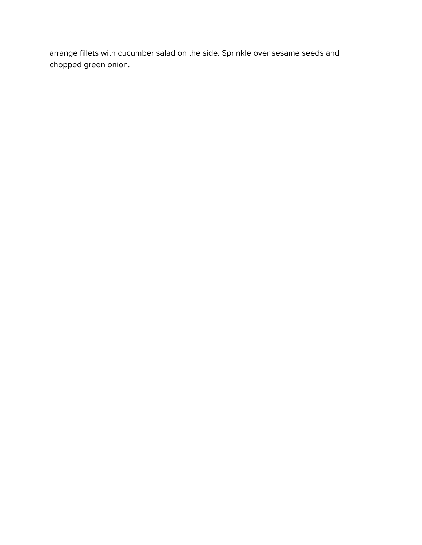arrange fillets with cucumber salad on the side. Sprinkle over sesame seeds and chopped green onion.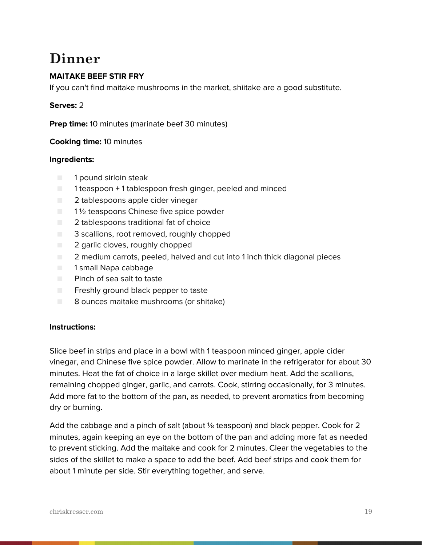# **Dinner**

# **MAITAKE BEEF STIR FRY**

If you can't find maitake mushrooms in the market, shiitake are a good substitute.

#### **Serves:** 2

**Prep time:** 10 minutes (marinate beef 30 minutes)

#### **Cooking time:** 10 minutes

#### **Ingredients:**

- 1 pound sirloin steak
- 1 teaspoon + 1 tablespoon fresh ginger, peeled and minced
- 2 tablespoons apple cider vinegar
- $\Box$  1  $\frac{1}{2}$  teaspoons Chinese five spice powder
- $\Box$  2 tablespoons traditional fat of choice
- 3 scallions, root removed, roughly chopped
- 2 garlic cloves, roughly chopped
- 2 medium carrots, peeled, halved and cut into 1 inch thick diagonal pieces
- 1 small Napa cabbage
- Pinch of sea salt to taste
- Freshly ground black pepper to taste
- 8 ounces maitake mushrooms (or shitake)

#### **Instructions:**

Slice beef in strips and place in a bowl with 1 teaspoon minced ginger, apple cider vinegar, and Chinese five spice powder. Allow to marinate in the refrigerator for about 30 minutes. Heat the fat of choice in a large skillet over medium heat. Add the scallions, remaining chopped ginger, garlic, and carrots. Cook, stirring occasionally, for 3 minutes. Add more fat to the bottom of the pan, as needed, to prevent aromatics from becoming dry or burning.

Add the cabbage and a pinch of salt (about ⅛ teaspoon) and black pepper. Cook for 2 minutes, again keeping an eye on the bottom of the pan and adding more fat as needed to prevent sticking. Add the maitake and cook for 2 minutes. Clear the vegetables to the sides of the skillet to make a space to add the beef. Add beef strips and cook them for about 1 minute per side. Stir everything together, and serve.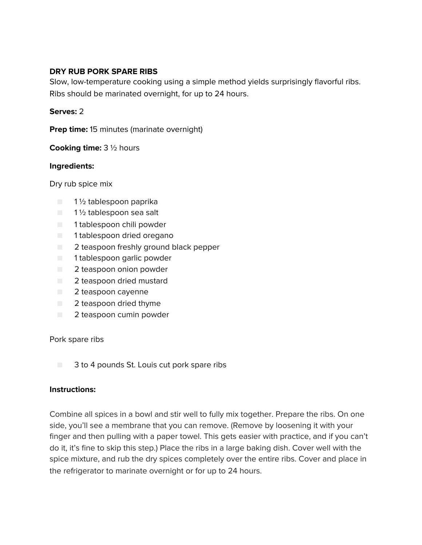#### **DRY RUB PORK SPARE RIBS**

Slow, low-temperature cooking using a simple method yields surprisingly flavorful ribs. Ribs should be marinated overnight, for up to 24 hours.

#### **Serves:** 2

**Prep time:** 15 minutes (marinate overnight)

**Cooking time:** 3 ½ hours

#### **Ingredients:**

Dry rub spice mix

- $\blacksquare$  1 1/2 tablespoon paprika
- 1½ tablespoon sea salt
- 1 tablespoon chili powder
- 1 tablespoon dried oregano
- 2 teaspoon freshly ground black pepper
- 1 tablespoon garlic powder
- 2 teaspoon onion powder
- 2 teaspoon dried mustard
- 2 teaspoon cayenne
- 2 teaspoon dried thyme
- 2 teaspoon cumin powder

Pork spare ribs

■ 3 to 4 pounds St. Louis cut pork spare ribs

#### **Instructions:**

Combine all spices in a bowl and stir well to fully mix together. Prepare the ribs. On one side, you'll see a membrane that you can remove. (Remove by loosening it with your finger and then pulling with a paper towel. This gets easier with practice, and if you can't do it, it's fine to skip this step.) Place the ribs in a large baking dish. Cover well with the spice mixture, and rub the dry spices completely over the entire ribs. Cover and place in the refrigerator to marinate overnight or for up to 24 hours.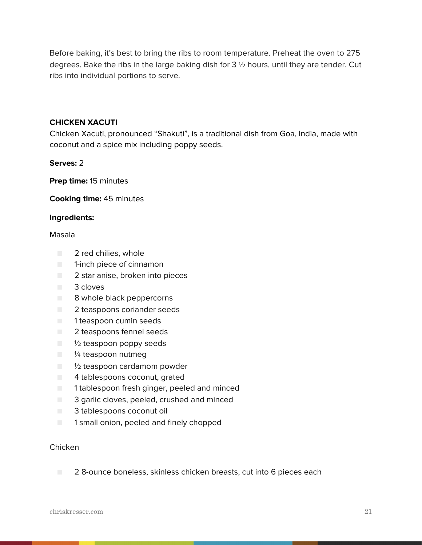Before baking, it's best to bring the ribs to room temperature. Preheat the oven to 275 degrees. Bake the ribs in the large baking dish for  $3\frac{1}{2}$  hours, until they are tender. Cut ribs into individual portions to serve.

#### **CHICKEN XACUTI**

Chicken Xacuti, pronounced "Shakuti", is a traditional dish from Goa, India, made with coconut and a spice mix including poppy seeds.

**Serves:** 2

**Prep time:** 15 minutes

**Cooking time:** 45 minutes

#### **Ingredients:**

#### Masala

- 2 red chilies, whole
- 1-inch piece of cinnamon
- 2 star anise, broken into pieces
- 3 cloves
- 8 whole black peppercorns
- 2 teaspoons coriander seeds
- 1 teaspoon cumin seeds
- 2 teaspoons fennel seeds
- $\blacksquare$   $\frac{1}{2}$  teaspoon poppy seeds
- <sup>1/4</sup> teaspoon nutmeg
- <sup>1</sup>/<sub>2</sub> teaspoon cardamom powder
- 4 tablespoons coconut, grated
- 1 tablespoon fresh ginger, peeled and minced
- 3 garlic cloves, peeled, crushed and minced
- 3 tablespoons coconut oil
- 1 small onion, peeled and finely chopped

#### Chicken

■ 2 8-ounce boneless, skinless chicken breasts, cut into 6 pieces each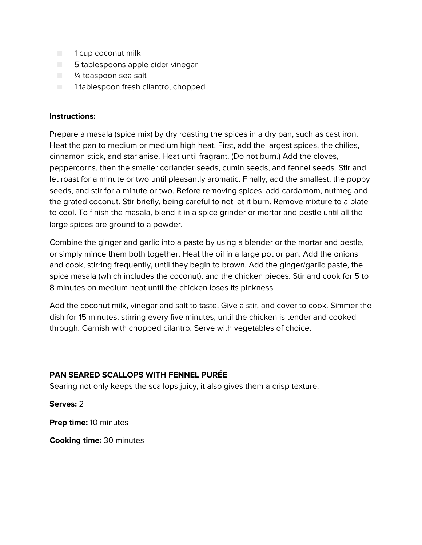- 1 cup coconut milk
- 5 tablespoons apple cider vinegar
- $\blacksquare$  % teaspoon sea salt
- 1 tablespoon fresh cilantro, chopped

Prepare a masala (spice mix) by dry roasting the spices in a dry pan, such as cast iron. Heat the pan to medium or medium high heat. First, add the largest spices, the chilies, cinnamon stick, and star anise. Heat until fragrant. (Do not burn.) Add the cloves, peppercorns, then the smaller coriander seeds, cumin seeds, and fennel seeds. Stir and let roast for a minute or two until pleasantly aromatic. Finally, add the smallest, the poppy seeds, and stir for a minute or two. Before removing spices, add cardamom, nutmeg and the grated coconut. Stir briefly, being careful to not let it burn. Remove mixture to a plate to cool. To finish the masala, blend it in a spice grinder or mortar and pestle until all the large spices are ground to a powder.

Combine the ginger and garlic into a paste by using a blender or the mortar and pestle, or simply mince them both together. Heat the oil in a large pot or pan. Add the onions and cook, stirring frequently, until they begin to brown. Add the ginger/garlic paste, the spice masala (which includes the coconut), and the chicken pieces. Stir and cook for 5 to 8 minutes on medium heat until the chicken loses its pinkness.

Add the coconut milk, vinegar and salt to taste. Give a stir, and cover to cook. Simmer the dish for 15 minutes, stirring every five minutes, until the chicken is tender and cooked through. Garnish with chopped cilantro. Serve with vegetables of choice.

#### **PAN SEARED SCALLOPS WITH FENNEL PURÉE**

Searing not only keeps the scallops juicy, it also gives them a crisp texture.

**Serves:** 2

**Prep time:** 10 minutes

**Cooking time:** 30 minutes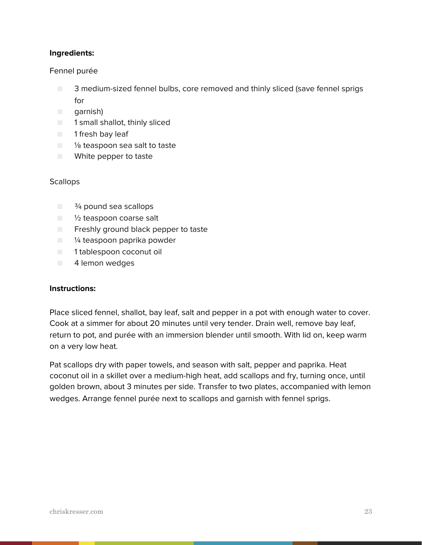## **Ingredients:**

#### Fennel purée

- 3 medium-sized fennel bulbs, core removed and thinly sliced (save fennel sprigs for
- garnish)
- 1 small shallot, thinly sliced
- 1 fresh bay leaf
- <sup>1</sup>/<sub>8</sub> teaspoon sea salt to taste
- White pepper to taste

#### **Scallops**

- <sup>3</sup><sup>⁄4</sup> pound sea scallops
- 1/2 teaspoon coarse salt
- **E** Freshly ground black pepper to taste
- <sup>1⁄4</sup> teaspoon paprika powder
- 1 tablespoon coconut oil
- 4 lemon wedges

#### **Instructions:**

Place sliced fennel, shallot, bay leaf, salt and pepper in a pot with enough water to cover. Cook at a simmer for about 20 minutes until very tender. Drain well, remove bay leaf, return to pot, and purée with an immersion blender until smooth. With lid on, keep warm on a very low heat.

Pat scallops dry with paper towels, and season with salt, pepper and paprika. Heat coconut oil in a skillet over a medium-high heat, add scallops and fry, turning once, until golden brown, about 3 minutes per side. Transfer to two plates, accompanied with lemon wedges. Arrange fennel purée next to scallops and garnish with fennel sprigs.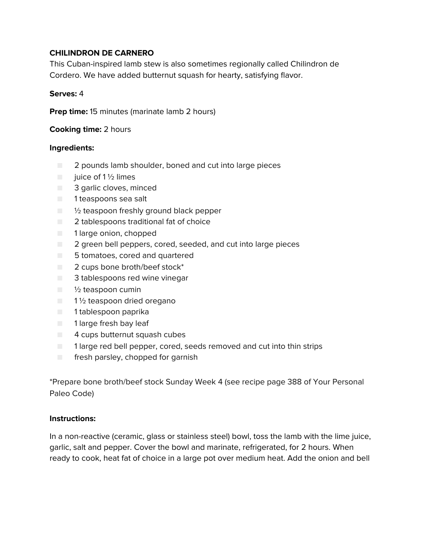# **CHILINDRON DE CARNERO**

This Cuban-inspired lamb stew is also sometimes regionally called Chilindron de Cordero. We have added butternut squash for hearty, satisfying flavor.

#### **Serves:** 4

**Prep time:** 15 minutes (marinate lamb 2 hours)

**Cooking time:** 2 hours

#### **Ingredients:**

- 2 pounds lamb shoulder, boned and cut into large pieces
- $\Box$  juice of 1 1/2 limes
- 3 garlic cloves, minced
- 1 teaspoons sea salt
- $\blacksquare$   $\blacksquare$   $\blacksquare$   $\blacksquare$   $\blacksquare$   $\blacksquare$   $\blacksquare$   $\blacksquare$   $\blacksquare$   $\blacksquare$   $\blacksquare$   $\blacksquare$   $\blacksquare$   $\blacksquare$   $\blacksquare$   $\blacksquare$   $\blacksquare$   $\blacksquare$   $\blacksquare$   $\blacksquare$   $\blacksquare$   $\blacksquare$   $\blacksquare$   $\blacksquare$   $\blacksquare$   $\blacksquare$   $\blacksquare$   $\blacksquare$   $\blacksquare$   $\blacksquare$   $\blacksquare$   $\blacks$
- 2 tablespoons traditional fat of choice
- 1 large onion, chopped
- 2 green bell peppers, cored, seeded, and cut into large pieces
- 5 tomatoes, cored and quartered
- 2 cups bone broth/beef stock<sup>\*</sup>
- 3 tablespoons red wine vinegar
- $\Box$  1/2 teaspoon cumin
- 1½ teaspoon dried oregano
- 1 tablespoon paprika
- 1 large fresh bay leaf
- 4 cups butternut squash cubes
- 1 large red bell pepper, cored, seeds removed and cut into thin strips
- fresh parsley, chopped for garnish

\*Prepare bone broth/beef stock Sunday Week 4 (see recipe page 388 of Your Personal Paleo Code)

#### **Instructions:**

In a non-reactive (ceramic, glass or stainless steel) bowl, toss the lamb with the lime juice, garlic, salt and pepper. Cover the bowl and marinate, refrigerated, for 2 hours. When ready to cook, heat fat of choice in a large pot over medium heat. Add the onion and bell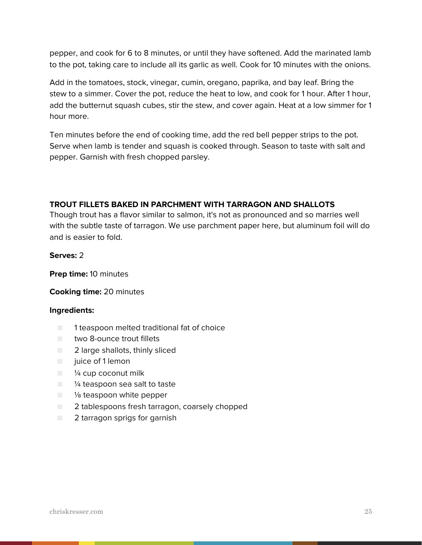pepper, and cook for 6 to 8 minutes, or until they have softened. Add the marinated lamb to the pot, taking care to include all its garlic as well. Cook for 10 minutes with the onions.

Add in the tomatoes, stock, vinegar, cumin, oregano, paprika, and bay leaf. Bring the stew to a simmer. Cover the pot, reduce the heat to low, and cook for 1 hour. After 1 hour, add the butternut squash cubes, stir the stew, and cover again. Heat at a low simmer for 1 hour more.

Ten minutes before the end of cooking time, add the red bell pepper strips to the pot. Serve when lamb is tender and squash is cooked through. Season to taste with salt and pepper. Garnish with fresh chopped parsley.

# **TROUT FILLETS BAKED IN PARCHMENT WITH TARRAGON AND SHALLOTS**

Though trout has a flavor similar to salmon, it's not as pronounced and so marries well with the subtle taste of tarragon. We use parchment paper here, but aluminum foil will do and is easier to fold.

#### **Serves:** 2

**Prep time:** 10 minutes

#### **Cooking time:** 20 minutes

- 1 teaspoon melted traditional fat of choice
- two 8-ounce trout fillets
- 2 large shallots, thinly sliced
- juice of 1 lemon
- $\blacksquare$   $\frac{1}{4}$  cup coconut milk
- <sup>1/4</sup> teaspoon sea salt to taste
- <sup>1/8</sup> teaspoon white pepper
- 2 tablespoons fresh tarragon, coarsely chopped
- 2 tarragon sprigs for garnish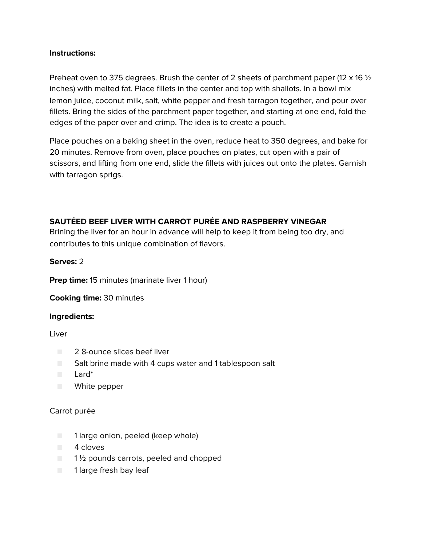Preheat oven to 375 degrees. Brush the center of 2 sheets of parchment paper (12 x 16  $\frac{1}{2}$ ) inches) with melted fat. Place fillets in the center and top with shallots. In a bowl mix lemon juice, coconut milk, salt, white pepper and fresh tarragon together, and pour over fillets. Bring the sides of the parchment paper together, and starting at one end, fold the edges of the paper over and crimp. The idea is to create a pouch.

Place pouches on a baking sheet in the oven, reduce heat to 350 degrees, and bake for 20 minutes. Remove from oven, place pouches on plates, cut open with a pair of scissors, and lifting from one end, slide the fillets with juices out onto the plates. Garnish with tarragon sprigs.

# **SAUTÉED BEEF LIVER WITH CARROT PURÉE AND RASPBERRY VINEGAR**

Brining the liver for an hour in advance will help to keep it from being too dry, and contributes to this unique combination of flavors.

#### **Serves:** 2

**Prep time:** 15 minutes (marinate liver 1 hour)

**Cooking time:** 30 minutes

#### **Ingredients:**

Liver

- 2 8-ounce slices beef liver
- Salt brine made with 4 cups water and 1 tablespoon salt
- Lard\*
- White pepper

#### Carrot purée

- 1 large onion, peeled (keep whole)
- 4 cloves
- $\Box$  1  $\frac{1}{2}$  pounds carrots, peeled and chopped
- 1 large fresh bay leaf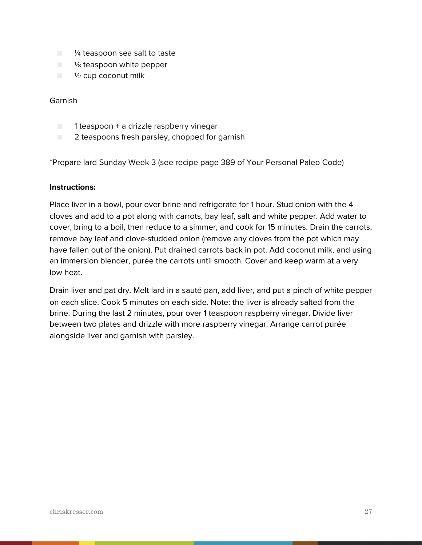- <sup>1/4</sup> teaspoon sea salt to taste
- $\blacksquare$  % teaspoon white pepper
- $\blacksquare$   $\frac{1}{2}$  cup coconut milk

#### Garnish

- $\blacksquare$  1 teaspoon + a drizzle raspberry vinegar
- $\Box$  2 teaspoons fresh parsley, chopped for garnish

\*Prepare lard Sunday Week 3 (see recipe page 389 of Your Personal Paleo Code)

#### **Instructions:**

Place liver in a bowl, pour over brine and refrigerate for 1 hour. Stud onion with the 4 cloves and add to a pot along with carrots, bay leaf, salt and white pepper. Add water to cover, bring to a boil, then reduce to a simmer, and cook for 15 minutes. Drain the carrots, remove bay leaf and clove-studded onion (remove any cloves from the pot which may have fallen out of the onion). Put drained carrots back in pot. Add coconut milk, and using an immersion blender, purée the carrots until smooth. Cover and keep warm at a very low heat.

Drain liver and pat dry. Melt lard in a sauté pan, add liver, and put a pinch of white pepper on each slice. Cook 5 minutes on each side. Note: the liver is already salted from the brine. During the last 2 minutes, pour over 1 teaspoon raspberry vinegar. Divide liver between two plates and drizzle with more raspberry vinegar. Arrange carrot purée alongside liver and garnish with parsley.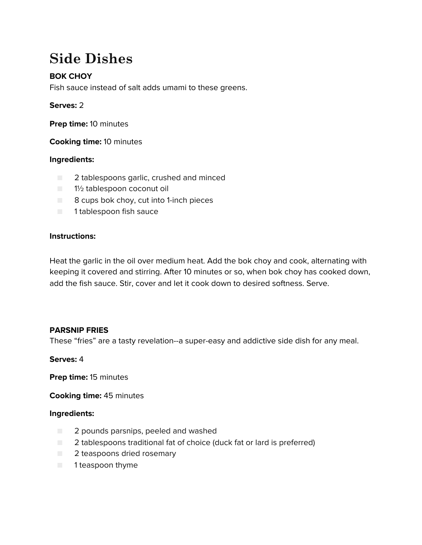# **Side Dishes**

# **BOK CHOY**

Fish sauce instead of salt adds umami to these greens.

# **Serves:** 2

**Prep time:** 10 minutes

**Cooking time:** 10 minutes

# **Ingredients:**

- 2 tablespoons garlic, crushed and minced
- 1½ tablespoon coconut oil
- 8 cups bok choy, cut into 1-inch pieces
- 1 tablespoon fish sauce

# **Instructions:**

Heat the garlic in the oil over medium heat. Add the bok choy and cook, alternating with keeping it covered and stirring. After 10 minutes or so, when bok choy has cooked down, add the fish sauce. Stir, cover and let it cook down to desired softness. Serve.

#### **PARSNIP FRIES**

These "fries" are a tasty revelation--a super-easy and addictive side dish for any meal.

#### **Serves:** 4

**Prep time:** 15 minutes

**Cooking time:** 45 minutes

- 2 pounds parsnips, peeled and washed
- 2 tablespoons traditional fat of choice (duck fat or lard is preferred)
- 2 teaspoons dried rosemary
- 1 teaspoon thyme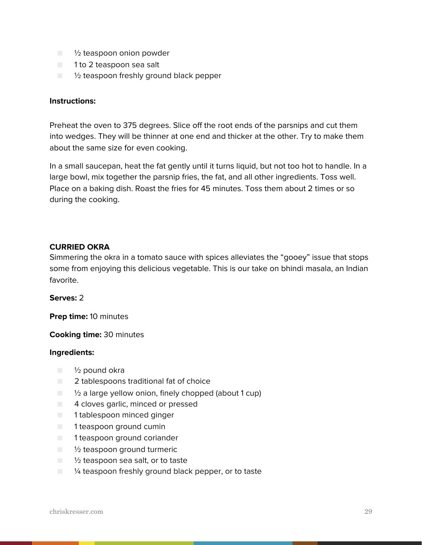- <sup>1</sup>/<sub>2</sub> teaspoon onion powder
- 1 to 2 teaspoon sea salt
- $\Box$   $\%$  teaspoon freshly ground black pepper

Preheat the oven to 375 degrees. Slice off the root ends of the parsnips and cut them into wedges. They will be thinner at one end and thicker at the other. Try to make them about the same size for even cooking.

In a small saucepan, heat the fat gently until it turns liquid, but not too hot to handle. In a large bowl, mix together the parsnip fries, the fat, and all other ingredients. Toss well. Place on a baking dish. Roast the fries for 45 minutes. Toss them about 2 times or so during the cooking.

#### **CURRIED OKRA**

Simmering the okra in a tomato sauce with spices alleviates the "gooey" issue that stops some from enjoying this delicious vegetable. This is our take on bhindi masala, an Indian favorite.

#### **Serves:** 2

**Prep time:** 10 minutes

#### **Cooking time:** 30 minutes

- ½ pound okra
- 2 tablespoons traditional fat of choice
- ½ a large yellow onion, finely chopped (about 1 cup)
- 4 cloves garlic, minced or pressed
- 1 tablespoon minced ginger
- 1 teaspoon ground cumin
- 1 teaspoon ground coriander
- ½ teaspoon ground turmeric
- $\Box$   $\frac{1}{2}$  teaspoon sea salt, or to taste
- <sup>1⁄4</sup> teaspoon freshly ground black pepper, or to taste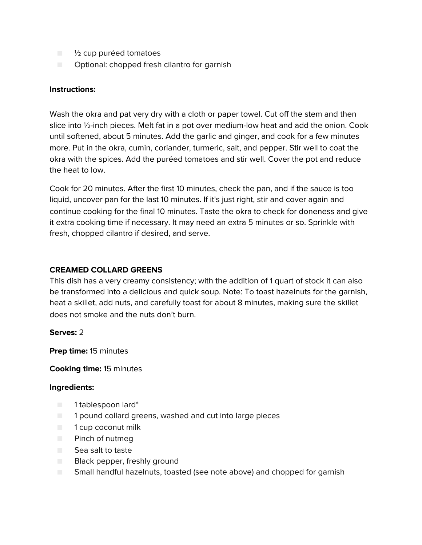- $\blacksquare$   $\frac{1}{2}$  cup puréed tomatoes
- Optional: chopped fresh cilantro for garnish

Wash the okra and pat very dry with a cloth or paper towel. Cut off the stem and then slice into ½-inch pieces. Melt fat in a pot over medium-low heat and add the onion. Cook until softened, about 5 minutes. Add the garlic and ginger, and cook for a few minutes more. Put in the okra, cumin, coriander, turmeric, salt, and pepper. Stir well to coat the okra with the spices. Add the puréed tomatoes and stir well. Cover the pot and reduce the heat to low.

Cook for 20 minutes. After the first 10 minutes, check the pan, and if the sauce is too liquid, uncover pan for the last 10 minutes. If it's just right, stir and cover again and continue cooking for the final 10 minutes. Taste the okra to check for doneness and give it extra cooking time if necessary. It may need an extra 5 minutes or so. Sprinkle with fresh, chopped cilantro if desired, and serve.

## **CREAMED COLLARD GREENS**

This dish has a very creamy consistency; with the addition of 1 quart of stock it can also be transformed into a delicious and quick soup. Note: To toast hazelnuts for the garnish, heat a skillet, add nuts, and carefully toast for about 8 minutes, making sure the skillet does not smoke and the nuts don't burn.

#### **Serves:** 2

**Prep time:** 15 minutes

#### **Cooking time:** 15 minutes

- 1 tablespoon lard\*
- 1 pound collard greens, washed and cut into large pieces
- 1 cup coconut milk
- Pinch of nutmeg
- Sea salt to taste
- Black pepper, freshly ground
- Small handful hazelnuts, toasted (see note above) and chopped for garnish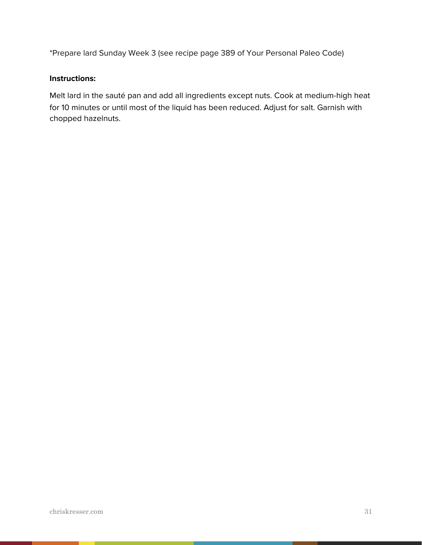\*Prepare lard Sunday Week 3 (see recipe page 389 of Your Personal Paleo Code)

#### **Instructions:**

Melt lard in the sauté pan and add all ingredients except nuts. Cook at medium-high heat for 10 minutes or until most of the liquid has been reduced. Adjust for salt. Garnish with chopped hazelnuts.